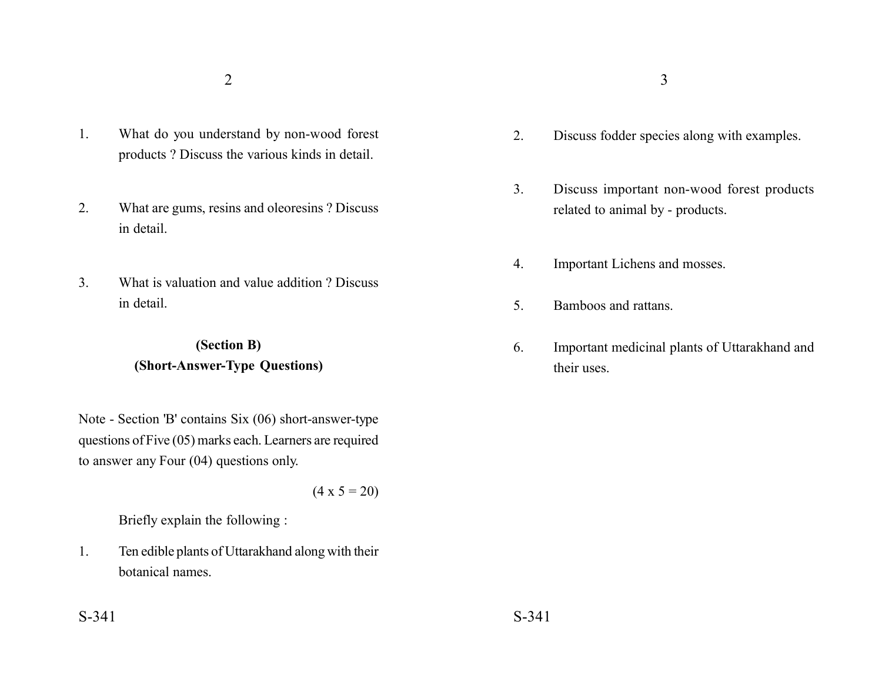- 1. What do you understand by non-wood forest products ? Discuss the various kinds in detail.
- 2. What are gums, resins and oleoresins ? Discuss in detail.
- 3. What is valuation and value addition ? Discuss in detail.

## **(Section B) (Short-Answer-Type Questions)**

Note - Section 'B' contains Six (06) short-answer-type questions of Five (05) marks each. Learners are required to answer any Four (04) questions only.

 $(4 \times 5 = 20)$ 

Briefly explain the following :

1. Ten edible plants of Uttarakhand along with their botanical names.

- 2. Discuss fodder species along with examples.
- 3. Discuss important non-wood forest products related to animal by - products.
- 4. Important Lichens and mosses.
- 5. Bamboos and rattans.
- 6. Important medicinal plants of Uttarakhand and their uses.

 $S-341$   $S-341$